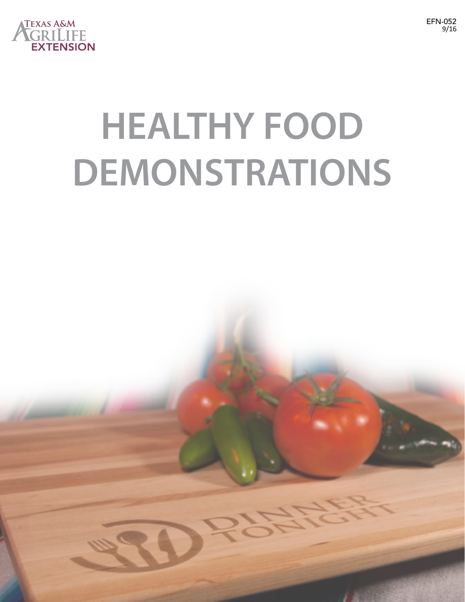

## **HEALTHY FOOD DEMONSTRATIONS**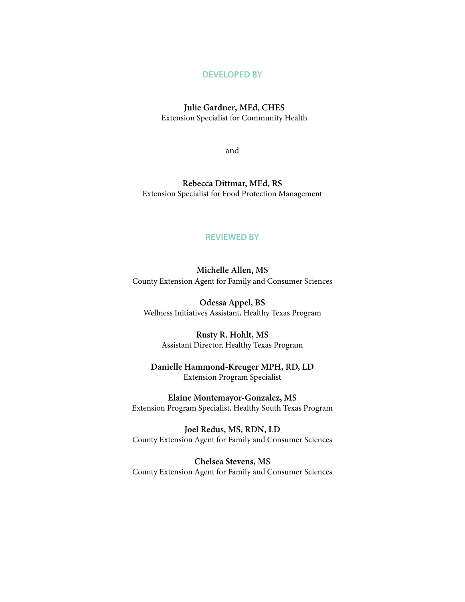### **DEVELOPED BY**

### **Julie Gardner, MEd, CHES**

Extension Specialist for Community Health

and

**Rebecca Dittmar, MEd, RS**  Extension Specialist for Food Protection Management

### **REVIEWED BY**

**Michelle Allen, MS** County Extension Agent for Family and Consumer Sciences

**Odessa Appel, BS** Wellness Initiatives Assistant, Healthy Texas Program

**Rusty R. Hohlt, MS** Assistant Director, Healthy Texas Program

### **Danielle Hammond-Kreuger MPH, RD, LD** Extension Program Specialist

**Elaine Montemayor-Gonzalez, MS** Extension Program Specialist, Healthy South Texas Program

**Joel Redus, MS, RDN, LD** County Extension Agent for Family and Consumer Sciences

**Chelsea Stevens, MS** County Extension Agent for Family and Consumer Sciences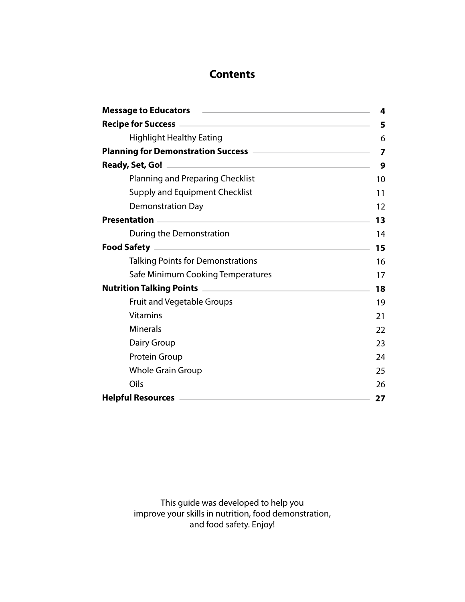### **Contents**

| Message to Educators <b>Example 2018</b> Message to Educators <b>Algorithms</b>                                | 4  |
|----------------------------------------------------------------------------------------------------------------|----|
|                                                                                                                | 5  |
| <b>Highlight Healthy Eating</b>                                                                                | 6  |
|                                                                                                                | 7  |
|                                                                                                                | 9  |
| Planning and Preparing Checklist                                                                               | 10 |
| <b>Supply and Equipment Checklist</b>                                                                          | 11 |
| <b>Demonstration Day</b>                                                                                       | 12 |
| Presentation 2008 and 2008 and 2008 and 2008 and 2008 and 2008 and 2008 and 2008 and 2008 and 2008 and 2008 an | 13 |
| During the Demonstration                                                                                       | 14 |
| the control of the control of the control of the control of the control of<br><b>Food Safety</b>               | 15 |
| <b>Talking Points for Demonstrations</b>                                                                       | 16 |
| Safe Minimum Cooking Temperatures                                                                              | 17 |
|                                                                                                                | 18 |
| <b>Fruit and Vegetable Groups</b>                                                                              | 19 |
| <b>Vitamins</b>                                                                                                | 21 |
| <b>Minerals</b>                                                                                                | 22 |
| Dairy Group                                                                                                    | 23 |
| Protein Group                                                                                                  | 24 |
| <b>Whole Grain Group</b>                                                                                       | 25 |
| Oils                                                                                                           | 26 |
| <b>Helpful Resources</b>                                                                                       | 27 |

This guide was developed to help you improve your skills in nutrition, food demonstration, and food safety. Enjoy!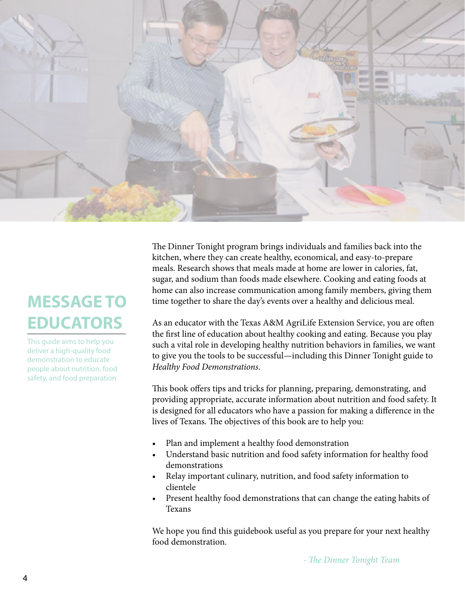

## **MESSAGE TO EDUCATORS**

This guide aims to help you deliver a high-quality food demonstration to educate people about nutrition, food safety, and food preparation

The Dinner Tonight program brings individuals and families back into the kitchen, where they can create healthy, economical, and easy-to-prepare meals. Research shows that meals made at home are lower in calories, fat, sugar, and sodium than foods made elsewhere. Cooking and eating foods at home can also increase communication among family members, giving them time together to share the day's events over a healthy and delicious meal.

As an educator with the Texas A&M AgriLife Extension Service, you are often the first line of education about healthy cooking and eating. Because you play such a vital role in developing healthy nutrition behaviors in families, we want to give you the tools to be successful—including this Dinner Tonight guide to *Healthy Food Demonstrations*.

This book offers tips and tricks for planning, preparing, demonstrating, and providing appropriate, accurate information about nutrition and food safety. It is designed for all educators who have a passion for making a difference in the lives of Texans. The objectives of this book are to help you:

- Plan and implement a healthy food demonstration
- Understand basic nutrition and food safety information for healthy food demonstrations
- Relay important culinary, nutrition, and food safety information to clientele
- Present healthy food demonstrations that can change the eating habits of Texans

We hope you find this guidebook useful as you prepare for your next healthy food demonstration.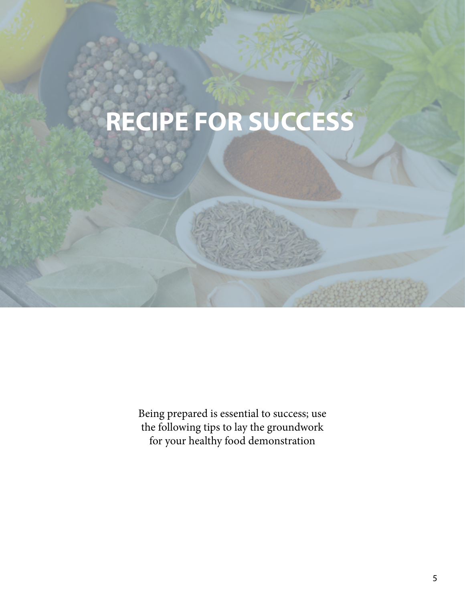## **RECIPE FOR SUCCESS**

Being prepared is essential to success; use the following tips to lay the groundwork for your healthy food demonstration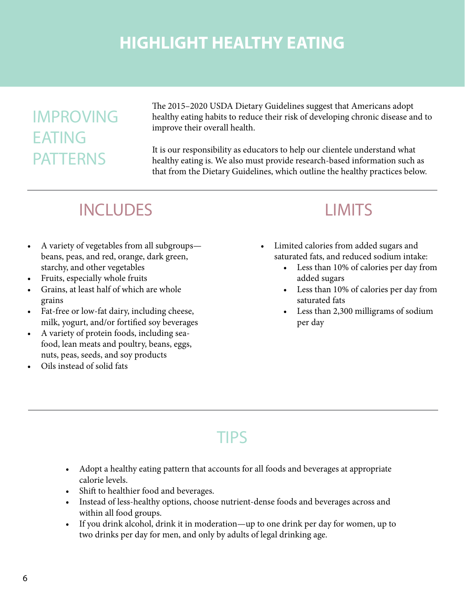## **HIGHLIGHT HEALTHY EATING**

## IMPROVING EATING PATTERNS

The 2015–2020 USDA Dietary Guidelines suggest that Americans adopt healthy eating habits to reduce their risk of developing chronic disease and to improve their overall health.

It is our responsibility as educators to help our clientele understand what healthy eating is. We also must provide research-based information such as that from the Dietary Guidelines, which outline the healthy practices below.

## INCLUDES LIMITS

- A variety of vegetables from all subgroups beans, peas, and red, orange, dark green, starchy, and other vegetables
- Fruits, especially whole fruits
- Grains, at least half of which are whole grains
- Fat-free or low-fat dairy, including cheese, milk, yogurt, and/or fortified soy beverages
- • A variety of protein foods, including seafood, lean meats and poultry, beans, eggs, nuts, peas, seeds, and soy products
- Oils instead of solid fats

- Limited calories from added sugars and saturated fats, and reduced sodium intake:
	- Less than 10% of calories per day from added sugars
	- Less than 10% of calories per day from saturated fats
	- Less than 2,300 milligrams of sodium per day

## TIPS

- Adopt a healthy eating pattern that accounts for all foods and beverages at appropriate calorie levels.
- Shift to healthier food and beverages.
- Instead of less-healthy options, choose nutrient-dense foods and beverages across and within all food groups.
- If you drink alcohol, drink it in moderation—up to one drink per day for women, up to two drinks per day for men, and only by adults of legal drinking age.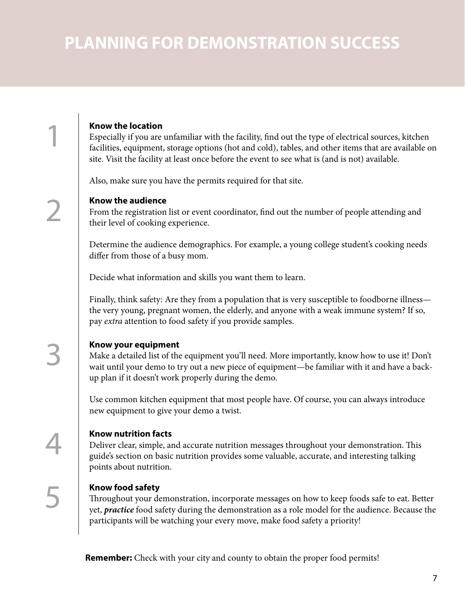## **PLANNING FOR DEMONSTRATION SUCCESS**

### **Know the location**

1

2

5

4

3

Especially if you are unfamiliar with the facility, find out the type of electrical sources, kitchen facilities, equipment, storage options (hot and cold), tables, and other items that are available on site. Visit the facility at least once before the event to see what is (and is not) available.

Also, make sure you have the permits required for that site.

### **Know the audience**

From the registration list or event coordinator, find out the number of people attending and their level of cooking experience.

Determine the audience demographics. For example, a young college student's cooking needs differ from those of a busy mom.

Decide what information and skills you want them to learn.

Finally, think safety: Are they from a population that is very susceptible to foodborne illness the very young, pregnant women, the elderly, and anyone with a weak immune system? If so, pay *extra* attention to food safety if you provide samples.

### **Know your equipment**

Make a detailed list of the equipment you'll need. More importantly, know how to use it! Don't wait until your demo to try out a new piece of equipment—be familiar with it and have a backup plan if it doesn't work properly during the demo.

Use common kitchen equipment that most people have. Of course, you can always introduce new equipment to give your demo a twist.

### **Know nutrition facts**

Deliver clear, simple, and accurate nutrition messages throughout your demonstration. This guide's section on basic nutrition provides some valuable, accurate, and interesting talking points about nutrition.

### **Know food safety**

Throughout your demonstration, incorporate messages on how to keep foods safe to eat. Better yet, *practice* food safety during the demonstration as a role model for the audience. Because the participants will be watching your every move, make food safety a priority!

**Remember:** Check with your city and county to obtain the proper food permits!

7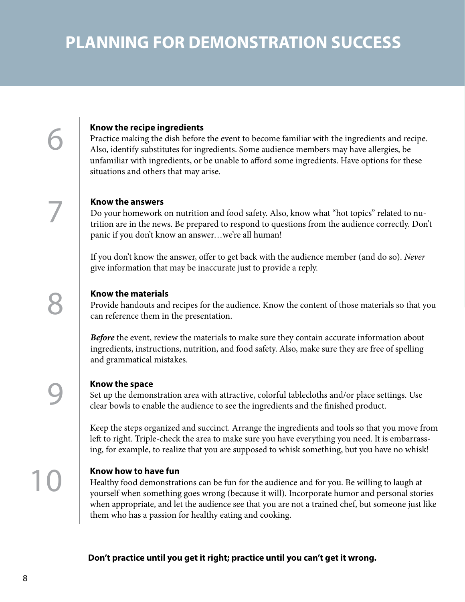## **PLANNING FOR DEMONSTRATION SUCCESS**

### **Know the recipe ingredients**

Practice making the dish before the event to become familiar with the ingredients and recipe. Also, identify substitutes for ingredients. Some audience members may have allergies, be unfamiliar with ingredients, or be unable to afford some ingredients. Have options for these situations and others that may arise.

### **Know the answers**

6

7

Do your homework on nutrition and food safety. Also, know what "hot topics" related to nutrition are in the news. Be prepared to respond to questions from the audience correctly. Don't panic if you don't know an answer…we're all human!

If you don't know the answer, offer to get back with the audience member (and do so). *Never*  give information that may be inaccurate just to provide a reply.

### **Know the materials**

Provide handouts and recipes for the audience. Know the content of those materials so that you can reference them in the presentation.

**Before** the event, review the materials to make sure they contain accurate information about ingredients, instructions, nutrition, and food safety. Also, make sure they are free of spelling and grammatical mistakes.

### **Know the space**

Set up the demonstration area with attractive, colorful tablecloths and/or place settings. Use clear bowls to enable the audience to see the ingredients and the finished product.

Keep the steps organized and succinct. Arrange the ingredients and tools so that you move from left to right. Triple-check the area to make sure you have everything you need. It is embarrassing, for example, to realize that you are supposed to whisk something, but you have no whisk!

### **Know how to have fun**

Healthy food demonstrations can be fun for the audience and for you. Be willing to laugh at yourself when something goes wrong (because it will). Incorporate humor and personal stories when appropriate, and let the audience see that you are not a trained chef, but someone just like them who has a passion for healthy eating and cooking.

**Don't practice until you get it right; practice until you can't get it wrong.**

10

9

8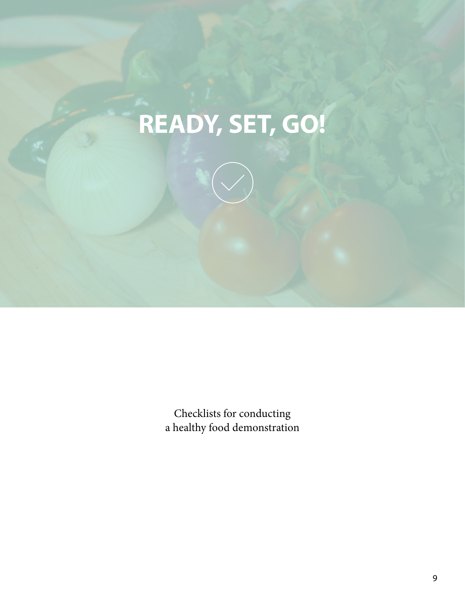# **READY, SET, GO!**

Checklists for conducting a healthy food demonstration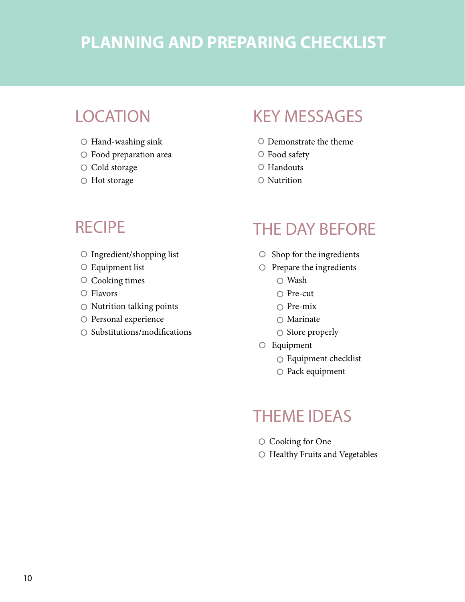## **PLANNING AND PREPARING CHECKLIST**

## **LOCATION**

- $\circ$  Hand-washing sink
- Food preparation area
- O Cold storage
- Hot storage

## KEY MESSAGES

- Demonstrate the theme
- O Food safety
- O Handouts
- O Nutrition

### **RECIPE**

- O Ingredient/shopping list
- Equipment list
- O Cooking times
- O Flavors
- $\circ$  Nutrition talking points
- O Personal experience
- $\bigcirc$  Substitutions/modifications

### THE DAY BEFORE

- $\circ$  Shop for the ingredients
- $\circ$  Prepare the ingredients
	- Wash
	- $\bigcirc$  Pre-cut
	- $\bigcirc$  Pre-mix
	- $\bigcirc$  Marinate
	- $\circ$  Store properly
- Equipment
	- Equipment checklist
	- O Pack equipment

### THEME IDEAS

- O Cooking for One
- O Healthy Fruits and Vegetables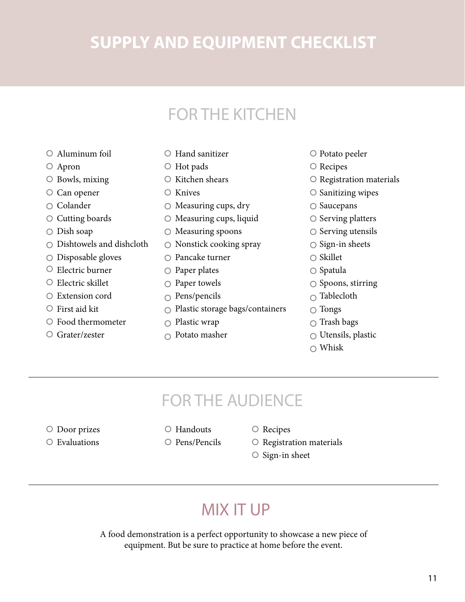## **SUPPLY AND EQUIPMENT CHECKLIST**

## FOR THE KITCHEN

- Aluminum foil
- Apron
- Bowls, mixing
- O Can opener
- Colander
- Cutting boards
- Dish soap
- $\bigcirc$  Dishtowels and dishcloth
- O Disposable gloves
- $\circ$  Electric burner
- $\circ$  Electric skillet
- Extension cord
- $\circ$  First aid kit
- Food thermometer
- Grater/zester
- Hand sanitizer
- Hot pads
- $\circ$  Kitchen shears
- $\circ$  Knives
- $\circ$  Measuring cups, dry
- $\circ$  Measuring cups, liquid
- $\bigcirc$  Measuring spoons
- $\circ$  Nonstick cooking spray
- Pancake turner
- $\circ$  Paper plates
- $\circ$  Paper towels
- $\circ$  Pens/pencils
- Plastic storage bags/containers
- $\bigcirc$  Plastic wrap
- $\cap$  Potato masher
- Potato peeler
- O Recipes
- $\circ$  Registration materials
- $\circ$  Sanitizing wipes
- $\circ$  Saucepans
- $\circ$  Serving platters
- $\circ$  Serving utensils
- $\circ$  Sign-in sheets
- $\bigcirc$  Skillet
- $\bigcirc$  Spatula
- $\circ$  Spoons, stirring
- $\bigcirc$  Tablecloth
- $\bigcirc$  Tongs
- $\bigcirc$  Trash bags
- $\bigcirc$  Utensils, plastic
- $\bigcirc$  Whisk

## FOR THE AUDIENCE

- Door prizes
- Evaluations
- Handouts
- $O$  Pens/Pencils
- $\circ$  Recipes
- $\circ$  Registration materials
- $\circ$  Sign-in sheet

## MIX IT UP

A food demonstration is a perfect opportunity to showcase a new piece of equipment. But be sure to practice at home before the event.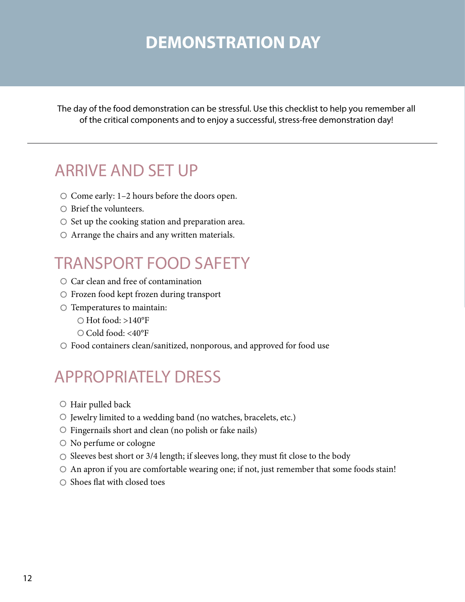## **DEMONSTRATION DAY**

The day of the food demonstration can be stressful. Use this checklist to help you remember all of the critical components and to enjoy a successful, stress-free demonstration day!

## ARRIVE AND SET UP

- $\bigcirc$  Come early: 1–2 hours before the doors open.
- $\bigcirc$  Brief the volunteers.
- $\circ$  Set up the cooking station and preparation area.
- $\circ$  Arrange the chairs and any written materials.

## TRANSPORT FOOD SAFETY

- O Car clean and free of contamination
- Frozen food kept frozen during transport
- $\circ$  Temperatures to maintain:
	- $\bigcirc$  Hot food: >140°F
	- O Cold food: <40°F
- Food containers clean/sanitized, nonporous, and approved for food use

## APPROPRIATELY DRESS

- Hair pulled back
- Jewelry limited to a wedding band (no watches, bracelets, etc.)
- $\circ$  Fingernails short and clean (no polish or fake nails)
- No perfume or cologne
- $\circ$  Sleeves best short or 3/4 length; if sleeves long, they must fit close to the body
- $\circ$  An apron if you are comfortable wearing one; if not, just remember that some foods stain!
- $\bigcirc$  Shoes flat with closed toes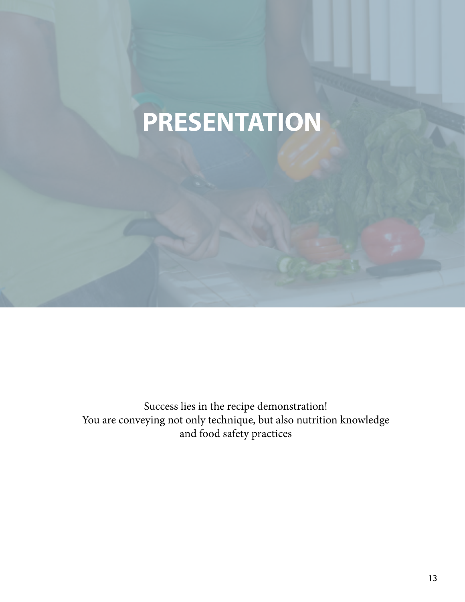## **PRESENTATION**

Success lies in the recipe demonstration! You are conveying not only technique, but also nutrition knowledge and food safety practices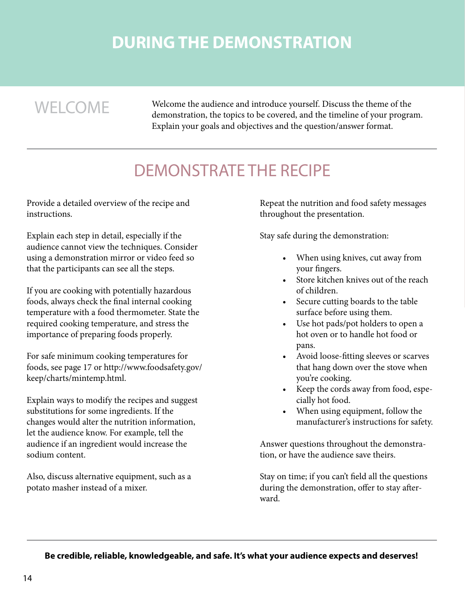## **DURING THE DEMONSTRATION**

WELCOME Welcome the audience and introduce yourself. Discuss the theme of the demonstration, the topics to be covered, and the timeline of your program. Explain your goals and objectives and the question/answer format.

## DEMONSTRATE THE RECIPE

Provide a detailed overview of the recipe and instructions.

Explain each step in detail, especially if the audience cannot view the techniques. Consider using a demonstration mirror or video feed so that the participants can see all the steps.

If you are cooking with potentially hazardous foods, always check the final internal cooking temperature with a food thermometer. State the required cooking temperature, and stress the importance of preparing foods properly.

For safe minimum cooking temperatures for foods, see page 17 or http://www.foodsafety.gov/ keep/charts/mintemp.html.

Explain ways to modify the recipes and suggest substitutions for some ingredients. If the changes would alter the nutrition information, let the audience know. For example, tell the audience if an ingredient would increase the sodium content.

Also, discuss alternative equipment, such as a potato masher instead of a mixer.

Repeat the nutrition and food safety messages throughout the presentation.

Stay safe during the demonstration:

- When using knives, cut away from your fingers.
- • Store kitchen knives out of the reach of children.
- • Secure cutting boards to the table surface before using them.
- Use hot pads/pot holders to open a hot oven or to handle hot food or pans.
- Avoid loose-fitting sleeves or scarves that hang down over the stove when you're cooking.
- • Keep the cords away from food, especially hot food.
- When using equipment, follow the manufacturer's instructions for safety.

Answer questions throughout the demonstration, or have the audience save theirs.

Stay on time; if you can't field all the questions during the demonstration, offer to stay afterward.

**Be credible, reliable, knowledgeable, and safe. It's what your audience expects and deserves!**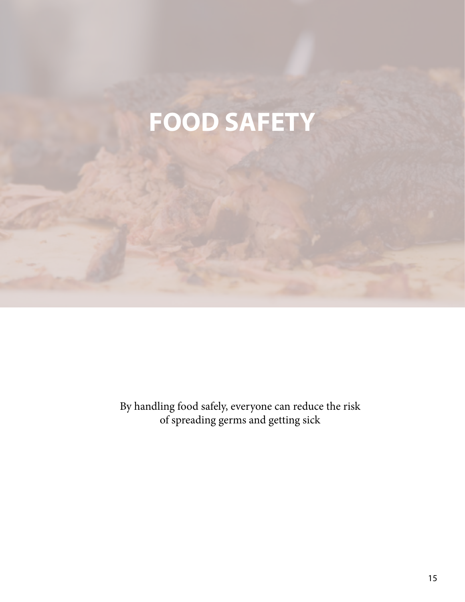## **FOOD SAFETY**

By handling food safely, everyone can reduce the risk of spreading germs and getting sick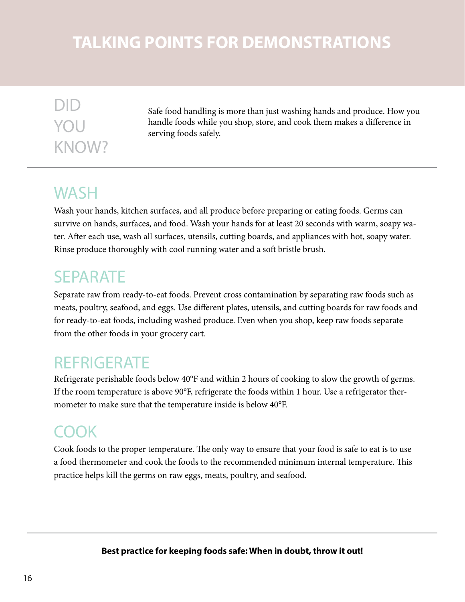## **TALKING POINTS FOR DEMONSTRATIONS**

## DID YOU KNOW?

Safe food handling is more than just washing hands and produce. How you handle foods while you shop, store, and cook them makes a difference in serving foods safely.

## **WASH**

Wash your hands, kitchen surfaces, and all produce before preparing or eating foods. Germs can survive on hands, surfaces, and food. Wash your hands for at least 20 seconds with warm, soapy water. After each use, wash all surfaces, utensils, cutting boards, and appliances with hot, soapy water. Rinse produce thoroughly with cool running water and a soft bristle brush.

## SEPARATE

Separate raw from ready-to-eat foods. Prevent cross contamination by separating raw foods such as meats, poultry, seafood, and eggs. Use different plates, utensils, and cutting boards for raw foods and for ready-to-eat foods, including washed produce. Even when you shop, keep raw foods separate from the other foods in your grocery cart.

## **REFRIGERATE**

Refrigerate perishable foods below 40°F and within 2 hours of cooking to slow the growth of germs. If the room temperature is above 90°F, refrigerate the foods within 1 hour. Use a refrigerator thermometer to make sure that the temperature inside is below 40°F.

## COOK

Cook foods to the proper temperature. The only way to ensure that your food is safe to eat is to use a food thermometer and cook the foods to the recommended minimum internal temperature. This practice helps kill the germs on raw eggs, meats, poultry, and seafood.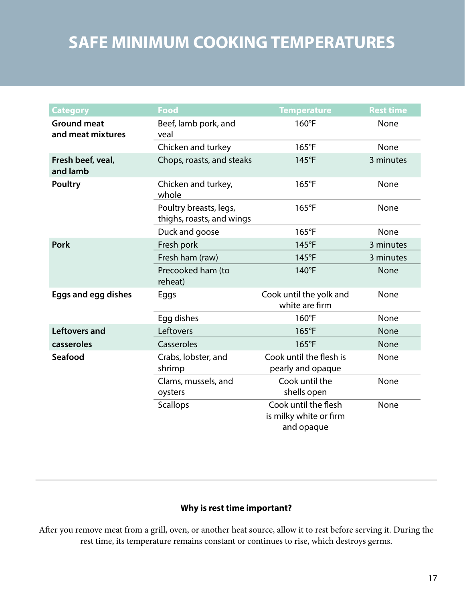## **SAFE MINIMUM COOKING TEMPERATURES**

| <b>Category</b>                         | <b>Food</b>                                         | <b>Temperature</b>                                           | <b>Rest time</b> |
|-----------------------------------------|-----------------------------------------------------|--------------------------------------------------------------|------------------|
| <b>Ground meat</b><br>and meat mixtures | Beef, lamb pork, and<br>veal                        | $160^{\circ}F$                                               | None             |
|                                         | Chicken and turkey                                  | 165°F                                                        | None             |
| Fresh beef, veal,<br>and lamb           | Chops, roasts, and steaks                           | 145°F                                                        | 3 minutes        |
| <b>Poultry</b>                          | Chicken and turkey,<br>whole                        | $165^{\circ}F$                                               | None             |
|                                         | Poultry breasts, legs,<br>thighs, roasts, and wings | $165^{\circ}F$                                               | None             |
|                                         | Duck and goose                                      | 165°F                                                        | <b>None</b>      |
| <b>Pork</b>                             | Fresh pork                                          | 145°F                                                        | 3 minutes        |
|                                         | Fresh ham (raw)                                     | 145°F                                                        | 3 minutes        |
|                                         | Precooked ham (to<br>reheat)                        | $140^{\circ}F$                                               | None             |
| <b>Eggs and egg dishes</b>              | Eggs                                                | Cook until the yolk and<br>white are firm                    | None             |
|                                         | Egg dishes                                          | $160^{\circ}F$                                               | <b>None</b>      |
| <b>Leftovers and</b>                    | Leftovers                                           | $165^{\circ}F$                                               | <b>None</b>      |
| casseroles                              | Casseroles                                          | $165^{\circ}F$                                               | <b>None</b>      |
| Seafood                                 | Crabs, lobster, and<br>shrimp                       | Cook until the flesh is<br>None<br>pearly and opaque         |                  |
|                                         | Clams, mussels, and<br>oysters                      | Cook until the<br><b>None</b><br>shells open                 |                  |
|                                         | <b>Scallops</b>                                     | Cook until the flesh<br>is milky white or firm<br>and opaque | None             |

### **Why is rest time important?**

After you remove meat from a grill, oven, or another heat source, allow it to rest before serving it. During the rest time, its temperature remains constant or continues to rise, which destroys germs.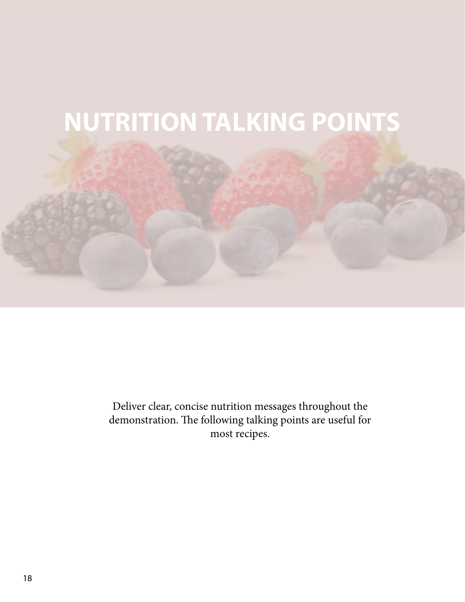

Deliver clear, concise nutrition messages throughout the demonstration. The following talking points are useful for most recipes.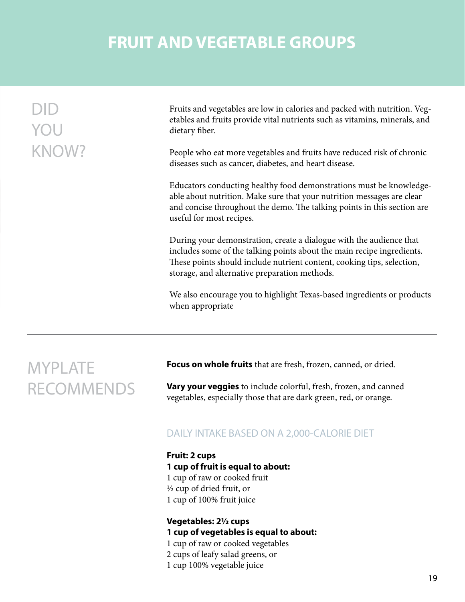## **FRUIT AND VEGETABLE GROUPS**

| YOU          | Fruits and vegetables are low in calories and packed with nutrition. Veg-<br>etables and fruits provide vital nutrients such as vitamins, minerals, and<br>dietary fiber.                                                                                                |
|--------------|--------------------------------------------------------------------------------------------------------------------------------------------------------------------------------------------------------------------------------------------------------------------------|
| <b>KNOW?</b> | People who eat more vegetables and fruits have reduced risk of chronic<br>diseases such as cancer, diabetes, and heart disease.                                                                                                                                          |
|              | Educators conducting healthy food demonstrations must be knowledge-<br>able about nutrition. Make sure that your nutrition messages are clear<br>and concise throughout the demo. The talking points in this section are<br>useful for most recipes.                     |
|              | During your demonstration, create a dialogue with the audience that<br>includes some of the talking points about the main recipe ingredients.<br>These points should include nutrient content, cooking tips, selection,<br>storage, and alternative preparation methods. |
|              | We also encourage you to highlight Texas-based ingredients or products<br>when appropriate                                                                                                                                                                               |
|              |                                                                                                                                                                                                                                                                          |

## MYPLATE RECOMMENDS

**Focus on whole fruits** that are fresh, frozen, canned, or dried.

**Vary your veggies** to include colorful, fresh, frozen, and canned vegetables, especially those that are dark green, red, or orange.

### DAILY INTAKE BASED ON A 2,000-CALORIE DIET

**Fruit: 2 cups 1 cup of fruit is equal to about:** 1 cup of raw or cooked fruit ½ cup of dried fruit, or 1 cup of 100% fruit juice

**Vegetables: 2½ cups 1 cup of vegetables is equal to about:** 1 cup of raw or cooked vegetables

2 cups of leafy salad greens, or

1 cup 100% vegetable juice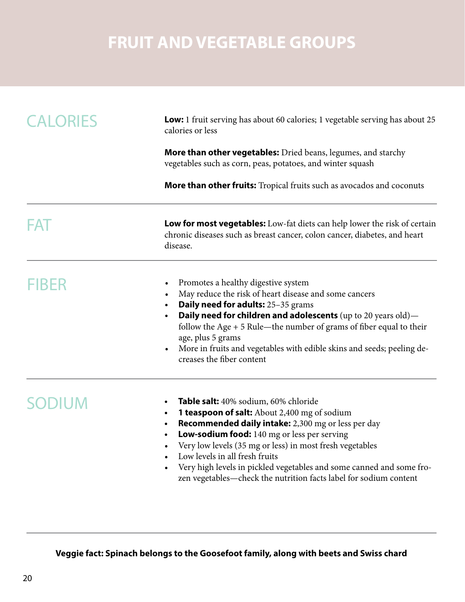## **FRUIT AND VEGETABLE GROUPS**

| <b>CALORIES</b> | <b>Low:</b> 1 fruit serving has about 60 calories; 1 vegetable serving has about 25<br>calories or less                                                                                                                                                                                                                                                                                                                                               |  |  |
|-----------------|-------------------------------------------------------------------------------------------------------------------------------------------------------------------------------------------------------------------------------------------------------------------------------------------------------------------------------------------------------------------------------------------------------------------------------------------------------|--|--|
|                 | <b>More than other vegetables:</b> Dried beans, legumes, and starchy<br>vegetables such as corn, peas, potatoes, and winter squash                                                                                                                                                                                                                                                                                                                    |  |  |
|                 | More than other fruits: Tropical fruits such as avocados and coconuts                                                                                                                                                                                                                                                                                                                                                                                 |  |  |
|                 | <b>Low for most vegetables:</b> Low-fat diets can help lower the risk of certain<br>chronic diseases such as breast cancer, colon cancer, diabetes, and heart<br>disease.                                                                                                                                                                                                                                                                             |  |  |
| FIBER           | Promotes a healthy digestive system<br>$\bullet$<br>May reduce the risk of heart disease and some cancers<br>Daily need for adults: 25-35 grams<br><b>Daily need for children and adolescents</b> (up to 20 years old)-<br>$\bullet$<br>follow the Age $+5$ Rule-the number of grams of fiber equal to their<br>age, plus 5 grams<br>More in fruits and vegetables with edible skins and seeds; peeling de-<br>$\bullet$<br>creases the fiber content |  |  |
| <b>SODIUM</b>   | Table salt: 40% sodium, 60% chloride<br>$\bullet$<br>1 teaspoon of salt: About 2,400 mg of sodium<br>$\bullet$<br>Recommended daily intake: 2,300 mg or less per day<br>$\bullet$<br>Low-sodium food: 140 mg or less per serving<br>$\bullet$<br>Very low levels (35 mg or less) in most fresh vegetables<br>Low levels in all fresh fruits<br>Very high levels in pickled vegetables and some canned and some fro-                                   |  |  |

**Veggie fact: Spinach belongs to the Goosefoot family, along with beets and Swiss chard**

zen vegetables—check the nutrition facts label for sodium content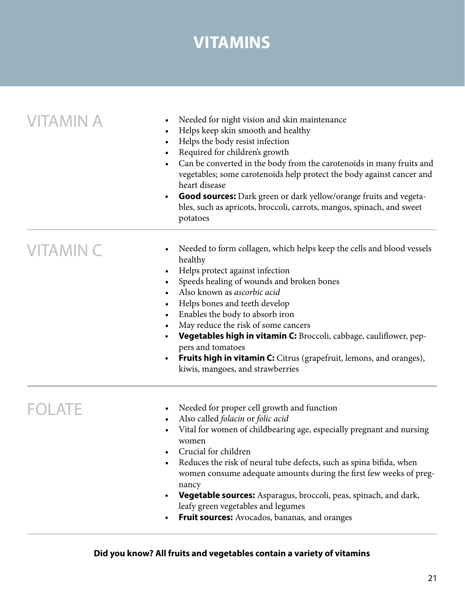## **VITAMINS**

| <b>VITAMIN A</b> | Needed for night vision and skin maintenance<br>Helps keep skin smooth and healthy<br>$\bullet$<br>Helps the body resist infection<br>$\bullet$<br>Required for children's growth<br>Can be converted in the body from the carotenoids in many fruits and<br>$\bullet$<br>vegetables; some carotenoids help protect the body against cancer and<br>heart disease<br><b>Good sources:</b> Dark green or dark yellow/orange fruits and vegeta-<br>$\bullet$<br>bles, such as apricots, broccoli, carrots, mangos, spinach, and sweet<br>potatoes |
|------------------|------------------------------------------------------------------------------------------------------------------------------------------------------------------------------------------------------------------------------------------------------------------------------------------------------------------------------------------------------------------------------------------------------------------------------------------------------------------------------------------------------------------------------------------------|
| <b>VITAMIN C</b> | Needed to form collagen, which helps keep the cells and blood vessels<br>healthy<br>Helps protect against infection<br>Speeds healing of wounds and broken bones<br>Also known as ascorbic acid<br>$\bullet$<br>Helps bones and teeth develop<br>$\bullet$<br>Enables the body to absorb iron<br>May reduce the risk of some cancers<br>Vegetables high in vitamin C: Broccoli, cabbage, cauliflower, pep-<br>pers and tomatoes<br>Fruits high in vitamin C: Citrus (grapefruit, lemons, and oranges),<br>kiwis, mangoes, and strawberries     |
|                  | Needed for proper cell growth and function<br>Also called folacin or folic acid<br>Vital for women of childbearing age, especially pregnant and nursing<br>women<br>Crucial for children<br>Reduces the risk of neural tube defects, such as spina bifida, when<br>women consume adequate amounts during the first few weeks of preg-<br>nancy<br>Vegetable sources: Asparagus, broccoli, peas, spinach, and dark,<br>leafy green vegetables and legumes<br>Fruit sources: Avocados, bananas, and oranges                                      |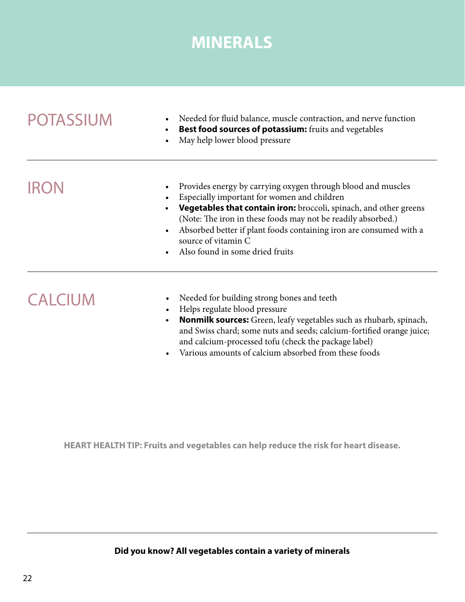## **MINERALS**

| <b>POTASSIUM</b> | Needed for fluid balance, muscle contraction, and nerve function<br>$\bullet$<br>Best food sources of potassium: fruits and vegetables<br>$\bullet$<br>May help lower blood pressure<br>$\bullet$                                                                                                                                                                                                                                    |  |
|------------------|--------------------------------------------------------------------------------------------------------------------------------------------------------------------------------------------------------------------------------------------------------------------------------------------------------------------------------------------------------------------------------------------------------------------------------------|--|
| <b>IRON</b>      | Provides energy by carrying oxygen through blood and muscles<br>$\bullet$<br>Especially important for women and children<br>Vegetables that contain iron: broccoli, spinach, and other greens<br>$\bullet$<br>(Note: The iron in these foods may not be readily absorbed.)<br>Absorbed better if plant foods containing iron are consumed with a<br>$\bullet$<br>source of vitamin C<br>Also found in some dried fruits<br>$\bullet$ |  |
| <b>CALCIUM</b>   | Needed for building strong bones and teeth<br>$\bullet$<br>Helps regulate blood pressure<br>$\bullet$<br><b>Nonmilk sources:</b> Green, leafy vegetables such as rhubarb, spinach,<br>$\bullet$<br>and Swiss chard; some nuts and seeds; calcium-fortified orange juice;<br>and calcium-processed tofu (check the package label)                                                                                                     |  |

• Various amounts of calcium absorbed from these foods

**HEART HEALTH TIP: Fruits and vegetables can help reduce the risk for heart disease.**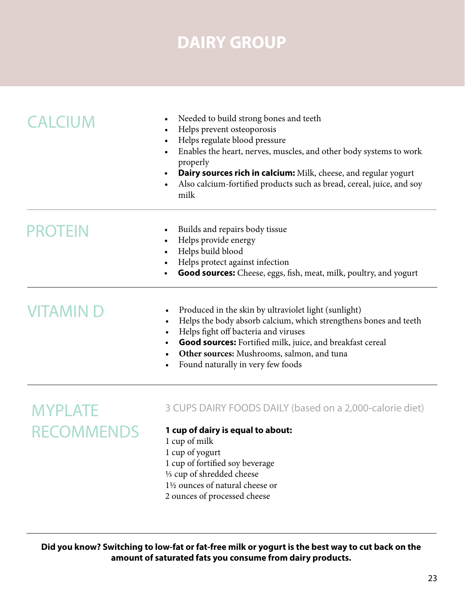## **DAIRY GROUP**

| <b>CALCIUM</b>                    | Needed to build strong bones and teeth<br>Helps prevent osteoporosis<br>Helps regulate blood pressure<br>$\bullet$<br>Enables the heart, nerves, muscles, and other body systems to work<br>$\bullet$<br>properly<br><b>Dairy sources rich in calcium:</b> Milk, cheese, and regular yogurt<br>$\bullet$<br>Also calcium-fortified products such as bread, cereal, juice, and soy<br>milk |
|-----------------------------------|-------------------------------------------------------------------------------------------------------------------------------------------------------------------------------------------------------------------------------------------------------------------------------------------------------------------------------------------------------------------------------------------|
| <b>PROTEIN</b>                    | Builds and repairs body tissue<br>$\bullet$<br>Helps provide energy<br>$\bullet$<br>Helps build blood<br>Helps protect against infection<br>Good sources: Cheese, eggs, fish, meat, milk, poultry, and yogurt                                                                                                                                                                             |
| <b>VITAMIND</b>                   | Produced in the skin by ultraviolet light (sunlight)<br>Helps the body absorb calcium, which strengthens bones and teeth<br>$\bullet$<br>Helps fight off bacteria and viruses<br>$\bullet$<br>Good sources: Fortified milk, juice, and breakfast cereal<br>Other sources: Mushrooms, salmon, and tuna<br>Found naturally in very few foods                                                |
| <b>MYPLATE</b><br><b>RECOMMEN</b> | 3 CUPS DAIRY FOODS DAILY (based on a 2,000-calorie diet)<br>1 cup of dairy is equal to about:<br>1 cup of milk<br>1 cup of yogurt<br>1 cup of fortified soy beverage<br>1/3 cup of shredded cheese<br>1½ ounces of natural cheese or<br>2 ounces of processed cheese                                                                                                                      |

**Did you know? Switching to low-fat or fat-free milk or yogurt is the best way to cut back on the amount of saturated fats you consume from dairy products.**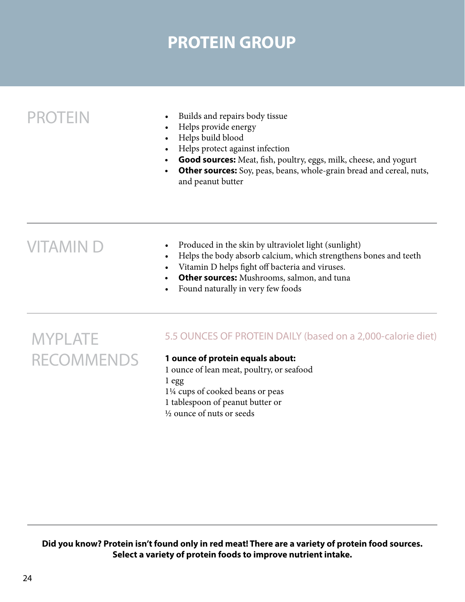## **PROTEIN GROUP**

- PROTEIN Builds and repairs body tissue
	- Helps provide energy
	- • Helps build blood
	- • Helps protect against infection
	- **• Good sources:** Meat, fish, poultry, eggs, milk, cheese, and yogurt
	- **Other sources:** Soy, peas, beans, whole-grain bread and cereal, nuts, and peanut butter

- $VITAMIN D \longrightarrow$  Produced in the skin by ultraviolet light (sunlight)
	- Helps the body absorb calcium, which strengthens bones and teeth
	- • Vitamin D helps fight off bacteria and viruses.
	- **Other sources:** Mushrooms, salmon, and tuna
	- Found naturally in very few foods

## MYPLATE RECOMMENDS

### 5.5 OUNCES OF PROTEIN DAILY (based on a 2,000-calorie diet)

### **1 ounce of protein equals about:**

1 ounce of lean meat, poultry, or seafood 1 egg 1¼ cups of cooked beans or peas 1 tablespoon of peanut butter or ½ ounce of nuts or seeds

**Did you know? Protein isn't found only in red meat! There are a variety of protein food sources. Select a variety of protein foods to improve nutrient intake.**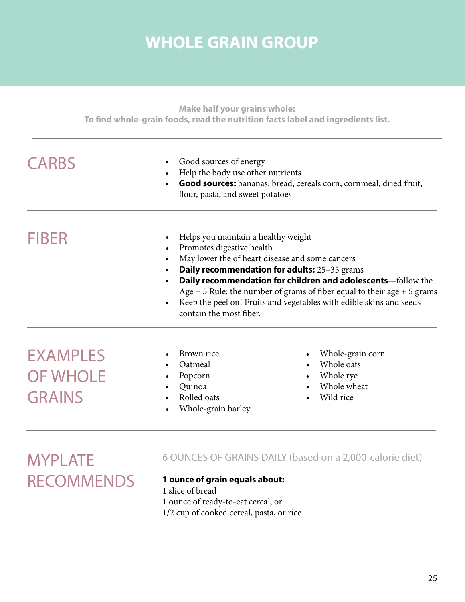## **WHOLE GRAIN GROUP**

| <b>CARBS</b>                       | Good sources of energy<br>$\bullet$<br>Help the body use other nutrients<br>Good sources: bananas, bread, cereals corn, cornmeal, dried fruit,<br>flour, pasta, and sweet potatoes |                                                                                                                                                                                                                                                                                                                                                                                         |  |
|------------------------------------|------------------------------------------------------------------------------------------------------------------------------------------------------------------------------------|-----------------------------------------------------------------------------------------------------------------------------------------------------------------------------------------------------------------------------------------------------------------------------------------------------------------------------------------------------------------------------------------|--|
| <b>FIBER</b>                       | $\bullet$<br>$\bullet$<br>$\bullet$<br>contain the most fiber.                                                                                                                     | Helps you maintain a healthy weight<br>Promotes digestive health<br>May lower the of heart disease and some cancers<br>Daily recommendation for adults: 25-35 grams<br>Daily recommendation for children and adolescents-follow the<br>Age $+5$ Rule: the number of grams of fiber equal to their age $+5$ grams<br>Keep the peel on! Fruits and vegetables with edible skins and seeds |  |
| <b>EXAMPLES</b><br><b>OF WHOLE</b> | Brown rice<br>Oatmeal<br>Popcorn<br>$\bullet$<br>Quinoa                                                                                                                            | Whole-grain corn<br>Whole oats<br>Whole rye<br>$\bullet$<br>Whole wheat                                                                                                                                                                                                                                                                                                                 |  |

**MYPLATE RECOMMENDS** 

### 6 OUNCES OF GRAINS DAILY (based on a 2,000-calorie diet)

**1 ounce of grain equals about:** 1 slice of bread 1 ounce of ready-to-eat cereal, or 1/2 cup of cooked cereal, pasta, or rice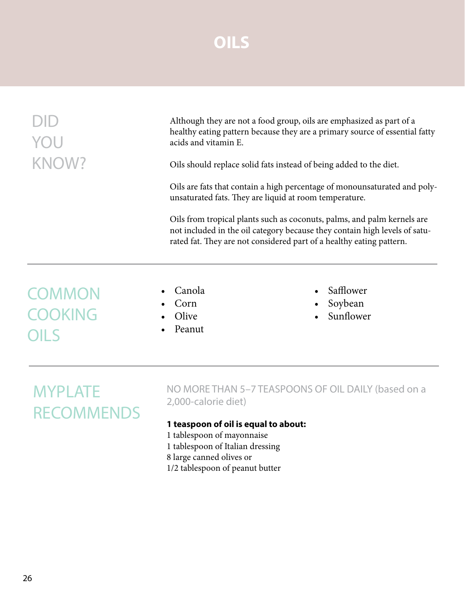## **OILS**

|                                 | Although they are not a food group, oils are emphasized as part of a<br>healthy eating pattern because they are a primary source of essential fatty<br>acids and vitamin E.                                                                                                                                                                                          |                                   |  |
|---------------------------------|----------------------------------------------------------------------------------------------------------------------------------------------------------------------------------------------------------------------------------------------------------------------------------------------------------------------------------------------------------------------|-----------------------------------|--|
| KNOW?                           | Oils should replace solid fats instead of being added to the diet.                                                                                                                                                                                                                                                                                                   |                                   |  |
|                                 | Oils are fats that contain a high percentage of monounsaturated and poly-<br>unsaturated fats. They are liquid at room temperature.<br>Oils from tropical plants such as coconuts, palms, and palm kernels are<br>not included in the oil category because they contain high levels of satu-<br>rated fat. They are not considered part of a healthy eating pattern. |                                   |  |
|                                 |                                                                                                                                                                                                                                                                                                                                                                      |                                   |  |
| <b>COMMON</b><br><b>COOKING</b> | Canola<br>Corn<br>Olive<br>Peanut                                                                                                                                                                                                                                                                                                                                    | Safflower<br>Soybean<br>Sunflower |  |

## **MYPLATE RECOMMENDS**

NO MORE THAN 5–7 TEASPOONS OF OIL DAILY (based on a 2,000-calorie diet)

### **1 teaspoon of oil is equal to about:**

- 1 tablespoon of mayonnaise
- 1 tablespoon of Italian dressing
- 8 large canned olives or
- 1/2 tablespoon of peanut butter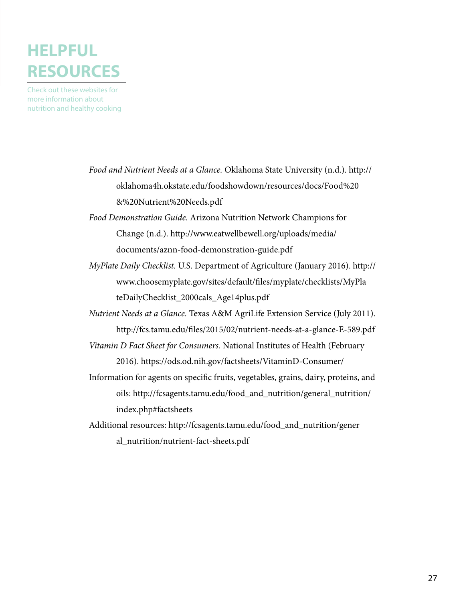## **HELPFUL RESOURCES**

Check out these websites for more information about nutrition and healthy cooking

- *Food and Nutrient Needs at a Glance.* Oklahoma State University (n.d.). http:// oklahoma4h.okstate.edu/foodshowdown/resources/docs/Food%20 &%20Nutrient%20Needs.pdf
- *Food Demonstration Guide.* Arizona Nutrition Network Champions for Change (n.d.). http://www.eatwellbewell.org/uploads/media/ documents/aznn-food-demonstration-guide.pdf
- *MyPlate Daily Checklist.* U.S. Department of Agriculture (January 2016). http:// www.choosemyplate.gov/sites/default/files/myplate/checklists/MyPla teDailyChecklist\_2000cals\_Age14plus.pdf
- *Nutrient Needs at a Glance.* Texas A&M AgriLife Extension Service (July 2011). http://fcs.tamu.edu/files/2015/02/nutrient-needs-at-a-glance-E-589.pdf
- *Vitamin D Fact Sheet for Consumers.* National Institutes of Health (February 2016). https://ods.od.nih.gov/factsheets/VitaminD-Consumer/
- Information for agents on specific fruits, vegetables, grains, dairy, proteins, and oils: http://fcsagents.tamu.edu/food\_and\_nutrition/general\_nutrition/ index.php#factsheets
- Additional resources: http://fcsagents.tamu.edu/food\_and\_nutrition/gener al\_nutrition/nutrient-fact-sheets.pdf